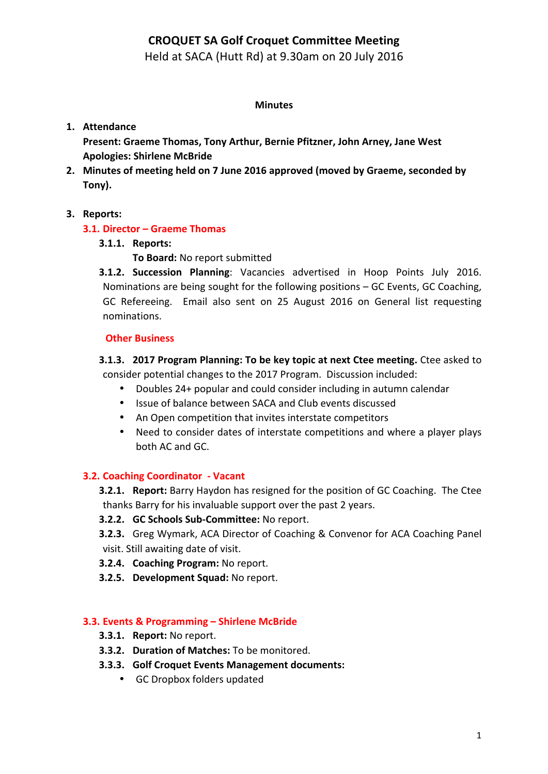# **CROQUET SA Golf Croquet Committee Meeting**

Held at SACA (Hutt Rd) at 9.30am on 20 July 2016

### **Minutes**

## **1. Attendance**

Present: Graeme Thomas, Tony Arthur, Bernie Pfitzner, John Arney, Jane West **Apologies: Shirlene McBride**

2. Minutes of meeting held on 7 June 2016 approved (moved by Graeme, seconded by **Tony).**

## **3. Reports:**

### **3.1. Director – Graeme Thomas**

### **3.1.1. Reports:**

- **To Board: No report submitted**
- **3.1.2. Succession Planning**: Vacancies advertised in Hoop Points July 2016. Nominations are being sought for the following positions  $-$  GC Events, GC Coaching, GC Refereeing. Email also sent on 25 August 2016 on General list requesting nominations.

#### **Other Business**

## **3.1.3. 2017 Program Planning: To be key topic at next Ctee meeting.** Ctee asked to consider potential changes to the 2017 Program. Discussion included:

- Doubles 24+ popular and could consider including in autumn calendar
- Issue of balance between SACA and Club events discussed
- An Open competition that invites interstate competitors
- Need to consider dates of interstate competitions and where a player plays both AC and GC.

## **3.2. Coaching Coordinator - Vacant**

- **3.2.1. Report:** Barry Haydon has resigned for the position of GC Coaching. The Ctee thanks Barry for his invaluable support over the past 2 years.
- **3.2.2. GC Schools Sub-Committee:** No report.
- **3.2.3.** Greg Wymark, ACA Director of Coaching & Convenor for ACA Coaching Panel visit. Still awaiting date of visit.
- **3.2.4. Coaching Program:** No report.
- **3.2.5. Development Squad:** No report.

## **3.3. Events & Programming – Shirlene McBride**

- **3.3.1. Report:** No report.
- **3.3.2. Duration of Matches:** To be monitored.
- **3.3.3.** Golf Croquet Events Management documents:
	- GC Dropbox folders updated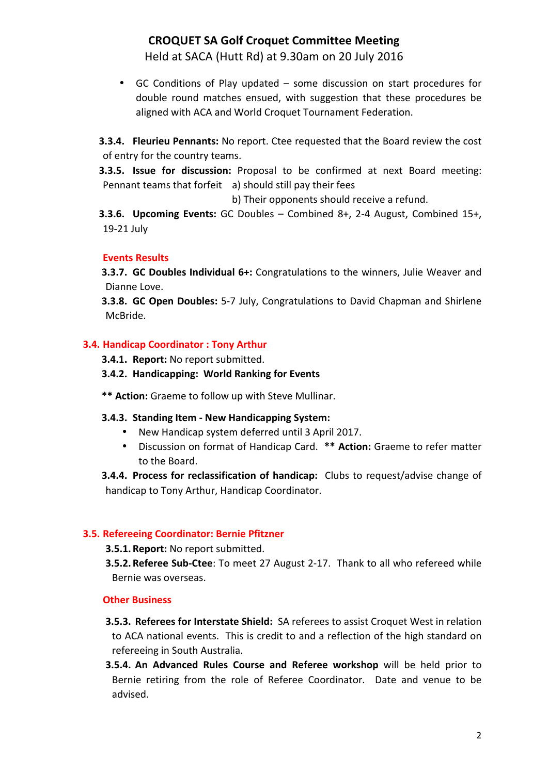# **CROQUET SA Golf Croquet Committee Meeting**

Held at SACA (Hutt Rd) at 9.30am on 20 July 2016

• GC Conditions of Play updated – some discussion on start procedures for double round matches ensued, with suggestion that these procedures be aligned with ACA and World Croquet Tournament Federation.

**3.3.4. Fleurieu Pennants:** No report. Ctee requested that the Board review the cost of entry for the country teams.

**3.3.5. Issue for discussion:** Proposal to be confirmed at next Board meeting: Pennant teams that forfeit a) should still pay their fees

b) Their opponents should receive a refund.

**3.3.6. Upcoming Events:** GC Doubles – Combined 8+, 2-4 August, Combined 15+, 19-21 July

## **Events Results**

**3.3.7. GC Doubles Individual 6+:** Congratulations to the winners, Julie Weaver and Dianne Love.

**3.3.8. GC Open Doubles:** 5-7 July, Congratulations to David Chapman and Shirlene McBride.

## **3.4. Handicap Coordinator : Tony Arthur**

**3.4.1. Report:** No report submitted.

### **3.4.2. Handicapping: World Ranking for Events**

\*\* Action: Graeme to follow up with Steve Mullinar.

#### **3.4.3. Standing Item - New Handicapping System:**

- New Handicap system deferred until 3 April 2017.
- Discussion on format of Handicap Card. \*\* Action: Graeme to refer matter to the Board.

**3.4.4.** Process for reclassification of handicap: Clubs to request/advise change of handicap to Tony Arthur, Handicap Coordinator.

#### **3.5. Refereeing Coordinator: Bernie Pfitzner**

#### **3.5.1. Report:** No report submitted.

**3.5.2. Referee Sub-Ctee**: To meet 27 August 2-17. Thank to all who refereed while Bernie was overseas.

#### **Other Business**

- **3.5.3. Referees for Interstate Shield:** SA referees to assist Croquet West in relation to ACA national events. This is credit to and a reflection of the high standard on refereeing in South Australia.
- **3.5.4.** An Advanced Rules Course and Referee workshop will be held prior to Bernie retiring from the role of Referee Coordinator. Date and venue to be advised.